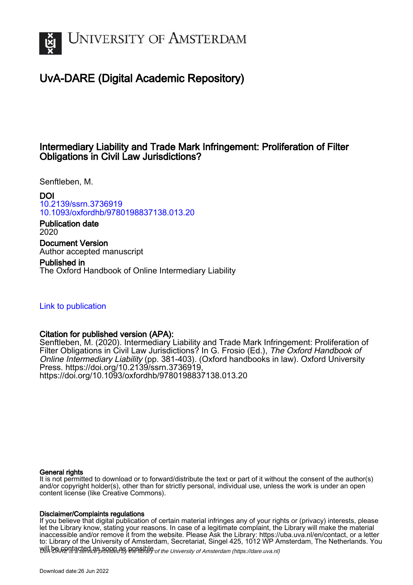

# UvA-DARE (Digital Academic Repository)

# Intermediary Liability and Trade Mark Infringement: Proliferation of Filter Obligations in Civil Law Jurisdictions?

Senftleben, M.

DOI [10.2139/ssrn.3736919](https://doi.org/10.2139/ssrn.3736919) [10.1093/oxfordhb/9780198837138.013.20](https://doi.org/10.1093/oxfordhb/9780198837138.013.20)

Publication date 2020 Document Version Author accepted manuscript

Published in The Oxford Handbook of Online Intermediary Liability

# [Link to publication](https://dare.uva.nl/personal/pure/en/publications/intermediary-liability-and-trade-mark-infringement-proliferation-of-filter-obligations-in-civil-law-jurisdictions(0313c355-8a6b-49d6-bb06-8a1a378ef196).html)

# Citation for published version (APA):

Senftleben, M. (2020). Intermediary Liability and Trade Mark Infringement: Proliferation of Filter Obligations in Civil Law Jurisdictions? In G. Frosio (Ed.), The Oxford Handbook of Online Intermediary Liability (pp. 381-403). (Oxford handbooks in law). Oxford University Press. [https://doi.org/10.2139/ssrn.3736919,](https://doi.org/10.2139/ssrn.3736919) <https://doi.org/10.1093/oxfordhb/9780198837138.013.20>

#### General rights

It is not permitted to download or to forward/distribute the text or part of it without the consent of the author(s) and/or copyright holder(s), other than for strictly personal, individual use, unless the work is under an open content license (like Creative Commons).

#### Disclaimer/Complaints regulations

Will be **Rentacted as solutions** the spilling of the University of Amsterdam (https://dare.uva.nl) If you believe that digital publication of certain material infringes any of your rights or (privacy) interests, please let the Library know, stating your reasons. In case of a legitimate complaint, the Library will make the material inaccessible and/or remove it from the website. Please Ask the Library: https://uba.uva.nl/en/contact, or a letter to: Library of the University of Amsterdam, Secretariat, Singel 425, 1012 WP Amsterdam, The Netherlands. You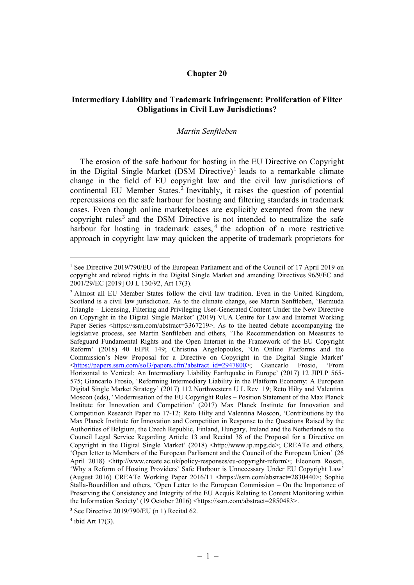### Chapter 20

# Intermediary Liability and Trademark Infringement: Proliferation of Filter Obligations in Civil Law Jurisdictions?

#### Martin Senftleben

The erosion of the safe harbour for hosting in the EU Directive on Copyright in the Digital Single Market  $(DSM$  Directive)<sup>1</sup> leads to a remarkable climate change in the field of EU copyright law and the civil law jurisdictions of continental EU Member States.<sup>2</sup> Inevitably, it raises the question of potential repercussions on the safe harbour for hosting and filtering standards in trademark cases. Even though online marketplaces are explicitly exempted from the new copyright rules<sup>3</sup> and the DSM Directive is not intended to neutralize the safe harbour for hosting in trademark cases,<sup>4</sup> the adoption of a more restrictive approach in copyright law may quicken the appetite of trademark proprietors for

 $4$  ibid Art 17(3).

<sup>&</sup>lt;sup>1</sup> See Directive 2019/790/EU of the European Parliament and of the Council of 17 April 2019 on copyright and related rights in the Digital Single Market and amending Directives 96/9/EC and 2001/29/EC [2019] OJ L 130/92, Art 17(3).

<sup>&</sup>lt;sup>2</sup> Almost all EU Member States follow the civil law tradition. Even in the United Kingdom, Scotland is a civil law jurisdiction. As to the climate change, see Martin Senftleben, 'Bermuda Triangle – Licensing, Filtering and Privileging User-Generated Content Under the New Directive on Copyright in the Digital Single Market' (2019) VUA Centre for Law and Internet Working Paper Series <https://ssrn.com/abstract=3367219>. As to the heated debate accompanying the legislative process, see Martin Senftleben and others, 'The Recommendation on Measures to Safeguard Fundamental Rights and the Open Internet in the Framework of the EU Copyright Reform' (2018) 40 EIPR 149; Christina Angelopoulos, 'On Online Platforms and the Commission's New Proposal for a Directive on Copyright in the Digital Single Market' <https://papers.ssrn.com/sol3/papers.cfm?abstract\_id=2947800>; Giancarlo Frosio, 'From Horizontal to Vertical: An Intermediary Liability Earthquake in Europe' (2017) 12 JIPLP 565- 575; Giancarlo Frosio, 'Reforming Intermediary Liability in the Platform Economy: A European Digital Single Market Strategy' (2017) 112 Northwestern U L Rev 19; Reto Hilty and Valentina Moscon (eds), 'Modernisation of the EU Copyright Rules – Position Statement of the Max Planck Institute for Innovation and Competition' (2017) Max Planck Institute for Innovation and Competition Research Paper no 17-12; Reto Hilty and Valentina Moscon, 'Contributions by the Max Planck Institute for Innovation and Competition in Response to the Questions Raised by the Authorities of Belgium, the Czech Republic, Finland, Hungary, Ireland and the Netherlands to the Council Legal Service Regarding Article 13 and Recital 38 of the Proposal for a Directive on Copyright in the Digital Single Market' (2018) <http://www.ip.mpg.de>; CREATe and others, 'Open letter to Members of the European Parliament and the Council of the European Union' (26 April 2018) <http://www.create.ac.uk/policy-responses/eu-copyright-reform>; Eleonora Rosati, 'Why a Reform of Hosting Providers' Safe Harbour is Unnecessary Under EU Copyright Law' (August 2016) CREATe Working Paper 2016/11 <https://ssrn.com/abstract=2830440>; Sophie Stalla-Bourdillon and others, 'Open Letter to the European Commission – On the Importance of Preserving the Consistency and Integrity of the EU Acquis Relating to Content Monitoring within the Information Society' (19 October 2016) <https://ssrn.com/abstract=2850483>.

<sup>3</sup> See Directive 2019/790/EU (n 1) Recital 62.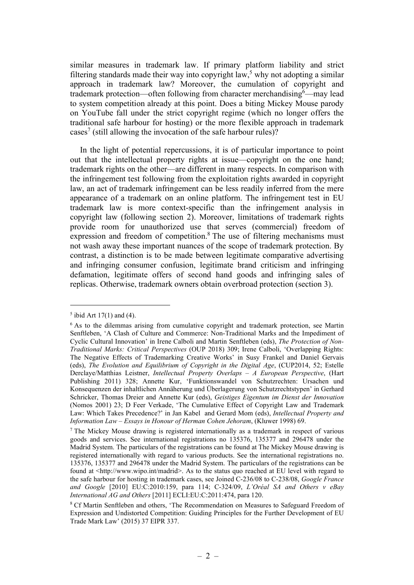similar measures in trademark law. If primary platform liability and strict filtering standards made their way into copyright law,<sup>5</sup> why not adopting a similar approach in trademark law? Moreover, the cumulation of copyright and trademark protection—often following from character merchandising  $6$ —may lead to system competition already at this point. Does a biting Mickey Mouse parody on YouTube fall under the strict copyright regime (which no longer offers the traditional safe harbour for hosting) or the more flexible approach in trademark cases<sup>7</sup> (still allowing the invocation of the safe harbour rules)?

In the light of potential repercussions, it is of particular importance to point out that the intellectual property rights at issue—copyright on the one hand; trademark rights on the other—are different in many respects. In comparison with the infringement test following from the exploitation rights awarded in copyright law, an act of trademark infringement can be less readily inferred from the mere appearance of a trademark on an online platform. The infringement test in EU trademark law is more context-specific than the infringement analysis in copyright law (following section 2). Moreover, limitations of trademark rights provide room for unauthorized use that serves (commercial) freedom of expression and freedom of competition.<sup>8</sup> The use of filtering mechanisms must not wash away these important nuances of the scope of trademark protection. By contrast, a distinction is to be made between legitimate comparative advertising and infringing consumer confusion, legitimate brand criticism and infringing defamation, legitimate offers of second hand goods and infringing sales of replicas. Otherwise, trademark owners obtain overbroad protection (section 3).

<sup>&</sup>lt;sup>5</sup> ibid Art 17(1) and (4).

<sup>&</sup>lt;sup>6</sup> As to the dilemmas arising from cumulative copyright and trademark protection, see Martin Senftleben, 'A Clash of Culture and Commerce: Non-Traditional Marks and the Impediment of Cyclic Cultural Innovation' in Irene Calboli and Martin Senftleben (eds), The Protection of Non-Traditional Marks: Critical Perspectives (OUP 2018) 309; Irene Calboli, 'Overlapping Rights: The Negative Effects of Trademarking Creative Works' in Susy Frankel and Daniel Gervais (eds), The Evolution and Equilibrium of Copyright in the Digital Age, (CUP2014, 52; Estelle Derclaye/Matthias Leistner, Intellectual Property Overlaps – A European Perspective, (Hart Publishing 2011) 328; Annette Kur, 'Funktionswandel von Schutzrechten: Ursachen und Konsequenzen der inhaltlichen Annäherung und Überlagerung von Schutzrechtstypen' in Gerhard Schricker, Thomas Dreier and Annette Kur (eds), Geistiges Eigentum im Dienst der Innovation (Nomos 2001) 23; D Feer Verkade, 'The Cumulative Effect of Copyright Law and Trademark Law: Which Takes Precedence?' in Jan Kabel and Gerard Mom (eds), Intellectual Property and Information Law – Essays in Honour of Herman Cohen Jehoram, (Kluwer 1998) 69.

<sup>&</sup>lt;sup>7</sup> The Mickey Mouse drawing is registered internationally as a trademark in respect of various goods and services. See international registrations no 135376, 135377 and 296478 under the Madrid System. The particulars of the registrations can be found at The Mickey Mouse drawing is registered internationally with regard to various products. See the international registrations no. 135376, 135377 and 296478 under the Madrid System. The particulars of the registrations can be found at <http://www.wipo.int/madrid>. As to the status quo reached at EU level with regard to the safe harbour for hosting in trademark cases, see Joined C-236/08 to C-238/08, Google France and Google  $[2010]$  EU:C:2010:159, para 114; C-324/09, L'Oréal SA and Others v eBay International AG and Others [2011] ECLI:EU:C:2011:474, para 120.

<sup>&</sup>lt;sup>8</sup> Cf Martin Senftleben and others, 'The Recommendation on Measures to Safeguard Freedom of Expression and Undistorted Competition: Guiding Principles for the Further Development of EU Trade Mark Law' (2015) 37 EIPR 337.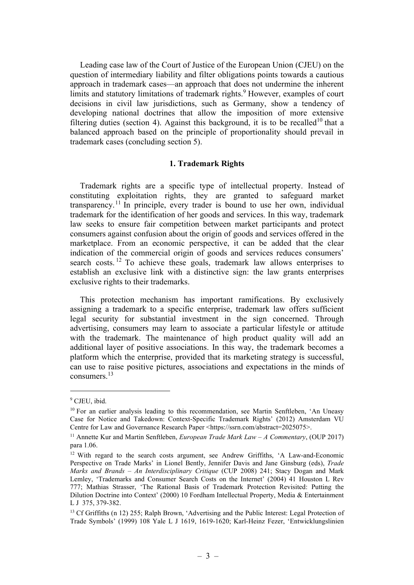Leading case law of the Court of Justice of the European Union (CJEU) on the question of intermediary liability and filter obligations points towards a cautious approach in trademark cases—an approach that does not undermine the inherent limits and statutory limitations of trademark rights.<sup>9</sup> However, examples of court decisions in civil law jurisdictions, such as Germany, show a tendency of developing national doctrines that allow the imposition of more extensive filtering duties (section 4). Against this background, it is to be recalled<sup>10</sup> that a balanced approach based on the principle of proportionality should prevail in trademark cases (concluding section 5).

#### 1. Trademark Rights

Trademark rights are a specific type of intellectual property. Instead of constituting exploitation rights, they are granted to safeguard market transparency.<sup>11</sup> In principle, every trader is bound to use her own, individual trademark for the identification of her goods and services. In this way, trademark law seeks to ensure fair competition between market participants and protect consumers against confusion about the origin of goods and services offered in the marketplace. From an economic perspective, it can be added that the clear indication of the commercial origin of goods and services reduces consumers' search costs.<sup>12</sup> To achieve these goals, trademark law allows enterprises to establish an exclusive link with a distinctive sign: the law grants enterprises exclusive rights to their trademarks.

This protection mechanism has important ramifications. By exclusively assigning a trademark to a specific enterprise, trademark law offers sufficient legal security for substantial investment in the sign concerned. Through advertising, consumers may learn to associate a particular lifestyle or attitude with the trademark. The maintenance of high product quality will add an additional layer of positive associations. In this way, the trademark becomes a platform which the enterprise, provided that its marketing strategy is successful, can use to raise positive pictures, associations and expectations in the minds of consumers.<sup>13</sup>

<sup>9</sup> CJEU, ibid.

<sup>&</sup>lt;sup>10</sup> For an earlier analysis leading to this recommendation, see Martin Senftleben, 'An Uneasy Case for Notice and Takedown: Context-Specific Trademark Rights' (2012) Amsterdam VU Centre for Law and Governance Research Paper <https://ssrn.com/abstract=2025075>.

<sup>&</sup>lt;sup>11</sup> Annette Kur and Martin Senftleben, *European Trade Mark Law – A Commentary*, (OUP 2017) para 1.06.

<sup>&</sup>lt;sup>12</sup> With regard to the search costs argument, see Andrew Griffiths, 'A Law-and-Economic Perspective on Trade Marks' in Lionel Bently, Jennifer Davis and Jane Ginsburg (eds), Trade Marks and Brands – An Interdisciplinary Critique (CUP 2008) 241; Stacy Dogan and Mark Lemley, 'Trademarks and Consumer Search Costs on the Internet' (2004) 41 Houston L Rev 777; Mathias Strasser, 'The Rational Basis of Trademark Protection Revisited: Putting the Dilution Doctrine into Context' (2000) 10 Fordham Intellectual Property, Media & Entertainment L J 375, 379-382.

<sup>&</sup>lt;sup>13</sup> Cf Griffiths (n 12) 255; Ralph Brown, 'Advertising and the Public Interest: Legal Protection of Trade Symbols' (1999) 108 Yale L J 1619, 1619-1620; Karl-Heinz Fezer, 'Entwicklungslinien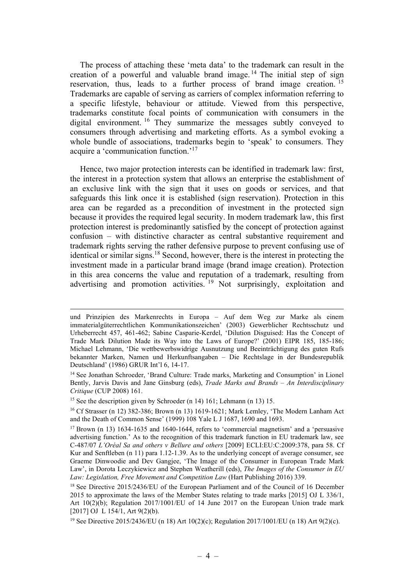The process of attaching these 'meta data' to the trademark can result in the creation of a powerful and valuable brand image.<sup>14</sup> The initial step of sign reservation, thus, leads to a further process of brand image creation.<sup>15</sup> Trademarks are capable of serving as carriers of complex information referring to a specific lifestyle, behaviour or attitude. Viewed from this perspective, trademarks constitute focal points of communication with consumers in the digital environment. <sup>16</sup> They summarize the messages subtly conveyed to consumers through advertising and marketing efforts. As a symbol evoking a whole bundle of associations, trademarks begin to 'speak' to consumers. They acquire a 'communication function.'<sup>17</sup>

Hence, two major protection interests can be identified in trademark law: first, the interest in a protection system that allows an enterprise the establishment of an exclusive link with the sign that it uses on goods or services, and that safeguards this link once it is established (sign reservation). Protection in this area can be regarded as a precondition of investment in the protected sign because it provides the required legal security. In modern trademark law, this first protection interest is predominantly satisfied by the concept of protection against confusion – with distinctive character as central substantive requirement and trademark rights serving the rather defensive purpose to prevent confusing use of identical or similar signs.<sup>18</sup> Second, however, there is the interest in protecting the investment made in a particular brand image (brand image creation). Protection in this area concerns the value and reputation of a trademark, resulting from advertising and promotion activities.<sup>19</sup> Not surprisingly, exploitation and

und Prinzipien des Markenrechts in Europa – Auf dem Weg zur Marke als einem immaterialgüterrechtlichen Kommunikationszeichen' (2003) Gewerblicher Rechtsschutz und Urheberrecht 457, 461-462; Sabine Casparie-Kerdel, 'Dilution Disguised: Has the Concept of Trade Mark Dilution Made its Way into the Laws of Europe?' (2001) EIPR 185, 185-186; Michael Lehmann, 'Die wettbewerbswidrige Ausnutzung und Beeinträchtigung des guten Rufs bekannter Marken, Namen und Herkunftsangaben – Die Rechtslage in der Bundesrepublik Deutschland' (1986) GRUR Int'l 6, 14-17.

<sup>&</sup>lt;sup>14</sup> See Jonathan Schroeder, 'Brand Culture: Trade marks, Marketing and Consumption' in Lionel Bently, Jarvis Davis and Jane Ginsburg (eds), Trade Marks and Brands - An Interdisciplinary Critique (CUP 2008) 161.

<sup>&</sup>lt;sup>15</sup> See the description given by Schroeder (n 14) 161; Lehmann (n 13) 15.

<sup>16</sup> Cf Strasser (n 12) 382-386; Brown (n 13) 1619-1621; Mark Lemley, 'The Modern Lanham Act and the Death of Common Sense' (1999) 108 Yale L J 1687, 1690 and 1693.

 $17$  Brown (n 13) 1634-1635 and 1640-1644, refers to 'commercial magnetism' and a 'persuasive advertising function.' As to the recognition of this trademark function in EU trademark law, see C-487/07 L'Oréal Sa and others v Bellure and others [2009] ECLI:EU:C:2009:378, para 58. Cf Kur and Senftleben (n 11) para 1.12-1.39. As to the underlying concept of average consumer, see Graeme Dinwoodie and Dev Gangjee, 'The Image of the Consumer in European Trade Mark Law', in Dorota Leczykiewicz and Stephen Weatherill (eds), The Images of the Consumer in EU Law: Legislation, Free Movement and Competition Law (Hart Publishing 2016) 339.

<sup>&</sup>lt;sup>18</sup> See Directive 2015/2436/EU of the European Parliament and of the Council of 16 December 2015 to approximate the laws of the Member States relating to trade marks [2015] OJ L 336/1, Art 10(2)(b); Regulation 2017/1001/EU of 14 June 2017 on the European Union trade mark [2017] OJ L 154/1, Art 9(2)(b).

<sup>&</sup>lt;sup>19</sup> See Directive 2015/2436/EU (n 18) Art 10(2)(c); Regulation 2017/1001/EU (n 18) Art 9(2)(c).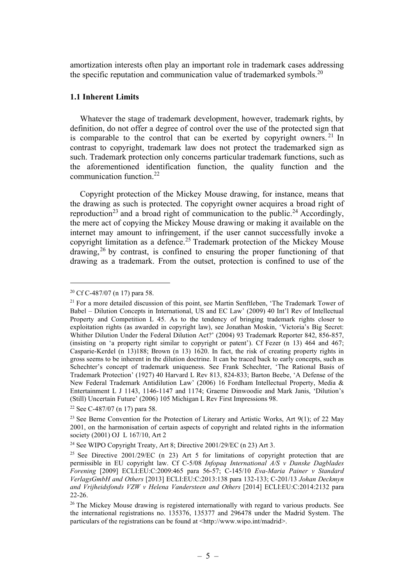amortization interests often play an important role in trademark cases addressing the specific reputation and communication value of trademarked symbols.<sup>20</sup>

# 1.1 Inherent Limits

Whatever the stage of trademark development, however, trademark rights, by definition, do not offer a degree of control over the use of the protected sign that is comparable to the control that can be exerted by copyright owners.<sup>21</sup> In contrast to copyright, trademark law does not protect the trademarked sign as such. Trademark protection only concerns particular trademark functions, such as the aforementioned identification function, the quality function and the communication function.<sup>22</sup>

Copyright protection of the Mickey Mouse drawing, for instance, means that the drawing as such is protected. The copyright owner acquires a broad right of reproduction<sup>23</sup> and a broad right of communication to the public.<sup>24</sup> Accordingly, the mere act of copying the Mickey Mouse drawing or making it available on the internet may amount to infringement, if the user cannot successfully invoke a copyright limitation as a defence.<sup>25</sup> Trademark protection of the Mickey Mouse  $d$ rawing,<sup>26</sup> by contrast, is confined to ensuring the proper functioning of that drawing as a trademark. From the outset, protection is confined to use of the

<sup>20</sup> Cf C-487/07 (n 17) para 58.

<sup>&</sup>lt;sup>21</sup> For a more detailed discussion of this point, see Martin Senftleben, 'The Trademark Tower of Babel – Dilution Concepts in International, US and EC Law' (2009) 40 Int'l Rev of Intellectual Property and Competition L 45. As to the tendency of bringing trademark rights closer to exploitation rights (as awarded in copyright law), see Jonathan Moskin, 'Victoria's Big Secret: Whither Dilution Under the Federal Dilution Act?' (2004) 93 Trademark Reporter 842, 856-857, (insisting on 'a property right similar to copyright or patent'). Cf Fezer (n 13) 464 and 467; Casparie-Kerdel (n 13)188; Brown (n 13) 1620. In fact, the risk of creating property rights in gross seems to be inherent in the dilution doctrine. It can be traced back to early concepts, such as Schechter's concept of trademark uniqueness. See Frank Schechter, 'The Rational Basis of Trademark Protection' (1927) 40 Harvard L Rev 813, 824-833; Barton Beebe, 'A Defense of the New Federal Trademark Antidilution Law' (2006) 16 Fordham Intellectual Property, Media & Entertainment L J 1143, 1146-1147 and 1174; Graeme Dinwoodie and Mark Janis, 'Dilution's (Still) Uncertain Future' (2006) 105 Michigan L Rev First Impressions 98.

<sup>22</sup> See C-487/07 (n 17) para 58.

<sup>&</sup>lt;sup>23</sup> See Berne Convention for the Protection of Literary and Artistic Works, Art  $9(1)$ ; of 22 May 2001, on the harmonisation of certain aspects of copyright and related rights in the information society (2001) OJ L 167/10, Art 2

<sup>24</sup> See WIPO Copyright Treaty, Art 8; Directive 2001/29/EC (n 23) Art 3.

<sup>&</sup>lt;sup>25</sup> See Directive 2001/29/EC (n 23) Art 5 for limitations of copyright protection that are permissible in EU copyright law. Cf C-5/08 Infopaq International  $\overrightarrow{A/S}$  v Danske Dagblades Forening [2009] ECLI:EU:C:2009:465 para 56-57; C-145/10 Eva-Maria Painer v Standard VerlagsGmbH and Others [2013] ECLI:EU:C:2013:138 para 132-133; C-201/13 Johan Deckmyn and Vrijheidsfonds VZW v Helena Vandersteen and Others [2014] ECLI:EU:C:2014:2132 para 22-26.

<sup>&</sup>lt;sup>26</sup> The Mickey Mouse drawing is registered internationally with regard to various products. See the international registrations no. 135376, 135377 and 296478 under the Madrid System. The particulars of the registrations can be found at  $\langle \text{http://www.wipo.int/madirid-}.$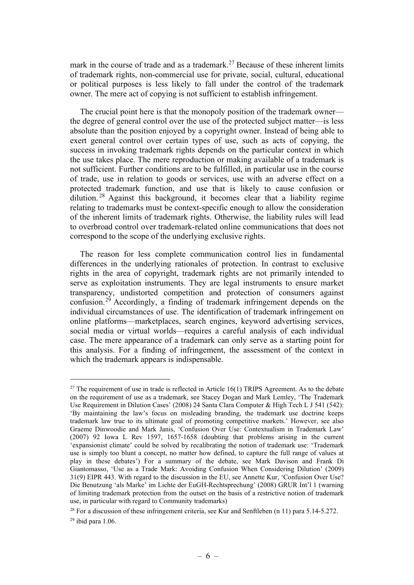mark in the course of trade and as a trademark.<sup>27</sup> Because of these inherent limits of trademark rights, non-commercial use for private, social, cultural, educational or political purposes is less likely to fall under the control of the trademark owner. The mere act of copying is not sufficient to establish infringement.

The crucial point here is that the monopoly position of the trademark owner the degree of general control over the use of the protected subject matter—is less absolute than the position enjoyed by a copyright owner. Instead of being able to exert general control over certain types of use, such as acts of copying, the success in invoking trademark rights depends on the particular context in which the use takes place. The mere reproduction or making available of a trademark is not sufficient. Further conditions are to be fulfilled, in particular use in the course of trade, use in relation to goods or services, use with an adverse effect on a protected trademark function, and use that is likely to cause confusion or dilution.<sup>28</sup> Against this background, it becomes clear that a liability regime relating to trademarks must be context-specific enough to allow the consideration of the inherent limits of trademark rights. Otherwise, the liability rules will lead to overbroad control over trademark-related online communications that does not correspond to the scope of the underlying exclusive rights.

The reason for less complete communication control lies in fundamental differences in the underlying rationales of protection. In contrast to exclusive rights in the area of copyright, trademark rights are not primarily intended to serve as exploitation instruments. They are legal instruments to ensure market transparency, undistorted competition and protection of consumers against confusion.<sup>29</sup> Accordingly, a finding of trademark infringement depends on the individual circumstances of use. The identification of trademark infringement on online platforms—marketplaces, search engines, keyword advertising services, social media or virtual worlds—requires a careful analysis of each individual case. The mere appearance of a trademark can only serve as a starting point for this analysis. For a finding of infringement, the assessment of the context in which the trademark appears is indispensable.

 $27$  The requirement of use in trade is reflected in Article 16(1) TRIPS Agreement. As to the debate on the requirement of use as a trademark, see Stacey Dogan and Mark Lemley, 'The Trademark Use Requirement in Dilution Cases' (2008) 24 Santa Clara Computer & High Tech L J 541 (542): 'By maintaining the law's focus on misleading branding, the trademark use doctrine keeps trademark law true to its ultimate goal of promoting competitive markets.' However, see also Graeme Dinwoodie and Mark Janis, 'Confusion Over Use: Contextualism in Trademark Law' (2007) 92 Iowa L Rev 1597, 1657-1658 (doubting that problems arising in the current 'expansionist climate' could be solved by recalibrating the notion of trademark use: 'Trademark use is simply too blunt a concept, no matter how defined, to capture the full range of values at play in these debates') For a summary of the debate, see Mark Davison and Frank Di Giantomasso, 'Use as a Trade Mark: Avoiding Confusion When Considering Dilution' (2009) 31(9) EIPR 443. With regard to the discussion in the EU, see Annette Kur, 'Confusion Over Use? Die Benutzung 'als Marke' im Lichte der EuGH-Rechtsprechung' (2008) GRUR Int'l 1 (warning of limiting trademark protection from the outset on the basis of a restrictive notion of trademark use, in particular with regard to Community trademarks)

<sup>&</sup>lt;sup>28</sup> For a discussion of these infringement criteria, see Kur and Senftleben  $(n 11)$  para 5.14-5.272.  $29$  ibid para 1.06.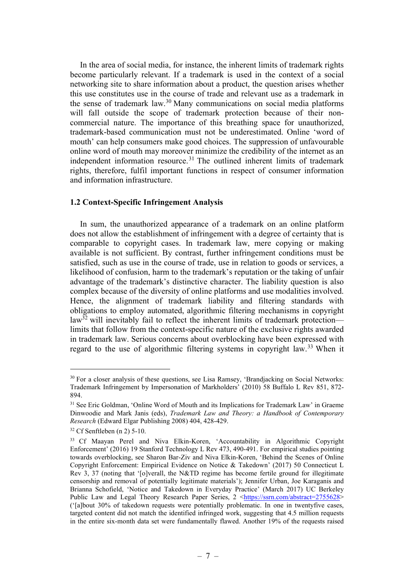In the area of social media, for instance, the inherent limits of trademark rights become particularly relevant. If a trademark is used in the context of a social networking site to share information about a product, the question arises whether this use constitutes use in the course of trade and relevant use as a trademark in the sense of trademark law.<sup>30</sup> Many communications on social media platforms will fall outside the scope of trademark protection because of their noncommercial nature. The importance of this breathing space for unauthorized, trademark-based communication must not be underestimated. Online 'word of mouth' can help consumers make good choices. The suppression of unfavourable online word of mouth may moreover minimize the credibility of the internet as an independent information resource.<sup>31</sup> The outlined inherent limits of trademark rights, therefore, fulfil important functions in respect of consumer information and information infrastructure.

### 1.2 Context-Specific Infringement Analysis

In sum, the unauthorized appearance of a trademark on an online platform does not allow the establishment of infringement with a degree of certainty that is comparable to copyright cases. In trademark law, mere copying or making available is not sufficient. By contrast, further infringement conditions must be satisfied, such as use in the course of trade, use in relation to goods or services, a likelihood of confusion, harm to the trademark's reputation or the taking of unfair advantage of the trademark's distinctive character. The liability question is also complex because of the diversity of online platforms and use modalities involved. Hence, the alignment of trademark liability and filtering standards with obligations to employ automated, algorithmic filtering mechanisms in copyright  $\text{law}^{32}$  will inevitably fail to reflect the inherent limits of trademark protection limits that follow from the context-specific nature of the exclusive rights awarded in trademark law. Serious concerns about overblocking have been expressed with regard to the use of algorithmic filtering systems in copyright law.<sup>33</sup> When it

<sup>&</sup>lt;sup>30</sup> For a closer analysis of these questions, see Lisa Ramsey, 'Brandjacking on Social Networks: Trademark Infringement by Impersonation of Markholders' (2010) 58 Buffalo L Rev 851, 872- 894.

<sup>&</sup>lt;sup>31</sup> See Eric Goldman, 'Online Word of Mouth and its Implications for Trademark Law' in Graeme Dinwoodie and Mark Janis (eds), Trademark Law and Theory: a Handbook of Contemporary Research (Edward Elgar Publishing 2008) 404, 428-429.

 $32$  Cf Senftleben (n 2) 5-10.

<sup>33</sup> Cf Maayan Perel and Niva Elkin-Koren, 'Accountability in Algorithmic Copyright Enforcement' (2016) 19 Stanford Technology L Rev 473, 490-491. For empirical studies pointing towards overblocking, see Sharon Bar-Ziv and Niva Elkin-Koren, 'Behind the Scenes of Online Copyright Enforcement: Empirical Evidence on Notice & Takedown' (2017) 50 Connecticut L Rev 3, 37 (noting that '[o]verall, the N&TD regime has become fertile ground for illegitimate censorship and removal of potentially legitimate materials'); Jennifer Urban, Joe Karaganis and Brianna Schofield, 'Notice and Takedown in Everyday Practice' (March 2017) UC Berkeley Public Law and Legal Theory Research Paper Series, 2 <https://ssrn.com/abstract=2755628> ('[a]bout 30% of takedown requests were potentially problematic. In one in twentyfive cases, targeted content did not match the identified infringed work, suggesting that 4.5 million requests in the entire six-month data set were fundamentally flawed. Another 19% of the requests raised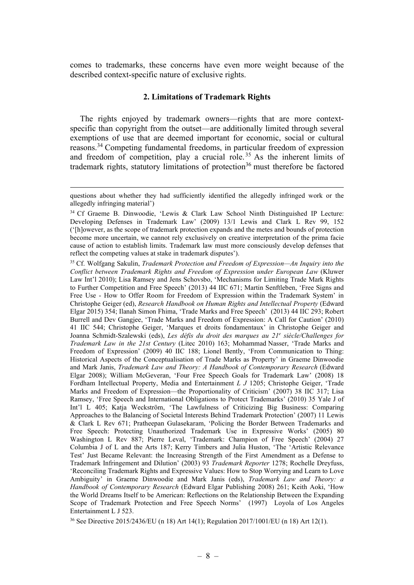comes to trademarks, these concerns have even more weight because of the described context-specific nature of exclusive rights.

### 2. Limitations of Trademark Rights

The rights enjoyed by trademark owners—rights that are more contextspecific than copyright from the outset—are additionally limited through several exemptions of use that are deemed important for economic, social or cultural reasons.<sup>34</sup> Competing fundamental freedoms, in particular freedom of expression and freedom of competition, play a crucial role. <sup>35</sup> As the inherent limits of trademark rights, statutory limitations of protection<sup>36</sup> must therefore be factored

questions about whether they had sufficiently identified the allegedly infringed work or the allegedly infringing material')

<sup>34</sup> Cf Graeme B. Dinwoodie, 'Lewis & Clark Law School Ninth Distinguished IP Lecture: Developing Defenses in Trademark Law' (2009) 13/1 Lewis and Clark L Rev 99, 152 ('[h]owever, as the scope of trademark protection expands and the metes and bounds of protection become more uncertain, we cannot rely exclusively on creative interpretation of the prima facie cause of action to establish limits. Trademark law must more consciously develop defenses that reflect the competing values at stake in trademark disputes').

<sup>35</sup> Cf. Wolfgang Sakulin, Trademark Protection and Freedom of Expression—An Inquiry into the Conflict between Trademark Rights and Freedom of Expression under European Law (Kluwer Law Int'l 2010); Lisa Ramsey and Jens Schovsbo, 'Mechanisms for Limiting Trade Mark Rights to Further Competition and Free Speech' (2013) 44 IIC 671; Martin Senftleben, 'Free Signs and Free Use - How to Offer Room for Freedom of Expression within the Trademark System' in Christophe Geiger (ed), Research Handbook on Human Rights and Intellectual Property (Edward Elgar 2015) 354; Ilanah Simon Fhima, 'Trade Marks and Free Speech' (2013) 44 IIC 293; Robert Burrell and Dev Gangjee, 'Trade Marks and Freedom of Expression: A Call for Caution' (2010) 41 IIC 544; Christophe Geiger, 'Marques et droits fondamentaux' in Christophe Geiger and Joanna Schmidt-Szalewski (eds), Les défis du droit des marques au 21<sup>e</sup> siècle/Challenges for Trademark Law in the 21st Century (Litec 2010) 163; Mohammad Nasser, 'Trade Marks and Freedom of Expression' (2009) 40 IIC 188; Lionel Bently, 'From Communication to Thing: Historical Aspects of the Conceptualisation of Trade Marks as Property' in Graeme Dinwoodie and Mark Janis, Trademark Law and Theory: A Handbook of Contemporary Research (Edward Elgar 2008); William McGeveran, 'Four Free Speech Goals for Trademark Law' (2008) 18 Fordham Intellectual Property, Media and Entertainment L J 1205; Christophe Geiger, 'Trade Marks and Freedom of Expression—the Proportionality of Criticism' (2007) 38 IIC 317; Lisa Ramsey, 'Free Speech and International Obligations to Protect Trademarks' (2010) 35 Yale J of Int'l L 405; Katja Weckström, 'The Lawfulness of Criticizing Big Business: Comparing Approaches to the Balancing of Societal Interests Behind Trademark Protection' (2007) 11 Lewis & Clark L Rev 671; Pratheepan Gulasekaram, 'Policing the Border Between Trademarks and Free Speech: Protecting Unauthorized Trademark Use in Expressive Works' (2005) 80 Washington L Rev 887; Pierre Leval, 'Trademark: Champion of Free Speech' (2004) 27 Columbia J of L and the Arts 187; Kerry Timbers and Julia Huston, 'The 'Artistic Relevance Test' Just Became Relevant: the Increasing Strength of the First Amendment as a Defense to Trademark Infringement and Dilution' (2003) 93 Trademark Reporter 1278; Rochelle Dreyfuss, 'Reconciling Trademark Rights and Expressive Values: How to Stop Worrying and Learn to Love Ambiguity' in Graeme Dinwoodie and Mark Janis (eds), Trademark Law and Theory: a Handbook of Contemporary Research (Edward Elgar Publishing 2008) 261; Keith Aoki, 'How the World Dreams Itself to be American: Reflections on the Relationship Between the Expanding Scope of Trademark Protection and Free Speech Norms' (1997) Loyola of Los Angeles Entertainment L J 523.

<sup>36</sup> See Directive 2015/2436/EU (n 18) Art 14(1); Regulation 2017/1001/EU (n 18) Art 12(1).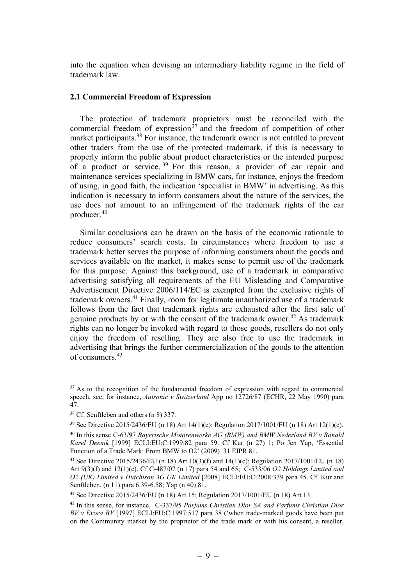into the equation when devising an intermediary liability regime in the field of trademark law.

# 2.1 Commercial Freedom of Expression

The protection of trademark proprietors must be reconciled with the commercial freedom of expression<sup> $37$ </sup> and the freedom of competition of other market participants.<sup>38</sup> For instance, the trademark owner is not entitled to prevent other traders from the use of the protected trademark, if this is necessary to properly inform the public about product characteristics or the intended purpose of a product or service.<sup>39</sup> For this reason, a provider of car repair and maintenance services specializing in BMW cars, for instance, enjoys the freedom of using, in good faith, the indication 'specialist in BMW' in advertising. As this indication is necessary to inform consumers about the nature of the services, the use does not amount to an infringement of the trademark rights of the car producer.<sup>40</sup>

Similar conclusions can be drawn on the basis of the economic rationale to reduce consumers' search costs. In circumstances where freedom to use a trademark better serves the purpose of informing consumers about the goods and services available on the market, it makes sense to permit use of the trademark for this purpose. Against this background, use of a trademark in comparative advertising satisfying all requirements of the EU Misleading and Comparative Advertisement Directive 2006/114/EC is exempted from the exclusive rights of trademark owners.<sup>41</sup> Finally, room for legitimate unauthorized use of a trademark follows from the fact that trademark rights are exhausted after the first sale of genuine products by or with the consent of the trademark owner.<sup>42</sup> As trademark rights can no longer be invoked with regard to those goods, resellers do not only enjoy the freedom of reselling. They are also free to use the trademark in advertising that brings the further commercialization of the goods to the attention of consumers.<sup>43</sup>

 $37$  As to the recognition of the fundamental freedom of expression with regard to commercial speech, see, for instance, Autronic v Switzerland App no 12726/87 (ECHR, 22 May 1990) para 47.

<sup>38</sup> Cf. Senftleben and others (n 8) 337.

<sup>&</sup>lt;sup>39</sup> See Directive 2015/2436/EU (n 18) Art 14(1)(c); Regulation 2017/1001/EU (n 18) Art 12(1)(c).

 $40$  In this sense C-63/97 Bayerische Motorenwerke AG (BMW) and BMW Nederland BV v Ronald Karel Deenik [1999] ECLI:EU:C:1999:82 para 59. Cf Kur (n 27) 1; Po Jen Yap, 'Essential Function of a Trade Mark: From BMW to O2' (2009) 31 EIPR 81.

<sup>&</sup>lt;sup>41</sup> See Directive 2015/2436/EU (n 18) Art 10(3)(f) and 14(1)(c); Regulation 2017/1001/EU (n 18) Art 9(3)(f) and 12(1)(c). Cf C-487/07 (n 17) para 54 and 65; C-533/06 O2 Holdings Limited and O2 (UK) Limited v Hutchison 3G UK Limited [2008] ECLI:EU:C:2008:339 para 45. Cf. Kur and Senftleben, (n 11) para 6.39-6.58; Yap (n 40) 81.

<sup>42</sup> See Directive 2015/2436/EU (n 18) Art 15; Regulation 2017/1001/EU (n 18) Art 13.

<sup>&</sup>lt;sup>43</sup> In this sense, for instance, C-337/95 Parfums Christian Dior SA and Parfums Christian Dior BV v Evora BV [1997] ECLI:EU:C:1997:517 para 38 ('when trade-marked goods have been put on the Community market by the proprietor of the trade mark or with his consent, a reseller,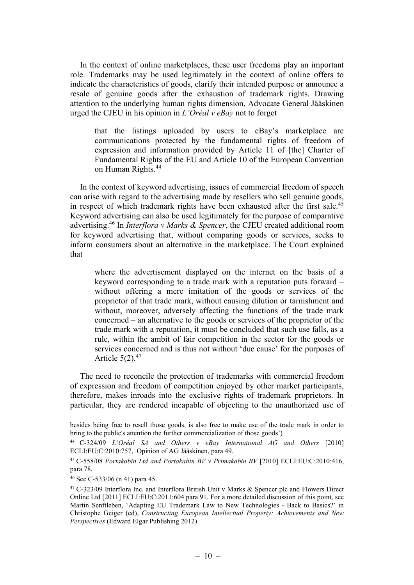In the context of online marketplaces, these user freedoms play an important role. Trademarks may be used legitimately in the context of online offers to indicate the characteristics of goods, clarify their intended purpose or announce a resale of genuine goods after the exhaustion of trademark rights. Drawing attention to the underlying human rights dimension, Advocate General Jääskinen urged the CJEU in his opinion in L'Oréal v eBay not to forget

that the listings uploaded by users to eBay's marketplace are communications protected by the fundamental rights of freedom of expression and information provided by Article 11 of [the] Charter of Fundamental Rights of the EU and Article 10 of the European Convention on Human Rights.<sup>44</sup>

In the context of keyword advertising, issues of commercial freedom of speech can arise with regard to the advertising made by resellers who sell genuine goods, in respect of which trademark rights have been exhausted after the first sale.<sup>45</sup> Keyword advertising can also be used legitimately for the purpose of comparative advertising.<sup>46</sup> In Interflora v Marks & Spencer, the CJEU created additional room for keyword advertising that, without comparing goods or services, seeks to inform consumers about an alternative in the marketplace. The Court explained that

where the advertisement displayed on the internet on the basis of a keyword corresponding to a trade mark with a reputation puts forward – without offering a mere imitation of the goods or services of the proprietor of that trade mark, without causing dilution or tarnishment and without, moreover, adversely affecting the functions of the trade mark concerned – an alternative to the goods or services of the proprietor of the trade mark with a reputation, it must be concluded that such use falls, as a rule, within the ambit of fair competition in the sector for the goods or services concerned and is thus not without 'due cause' for the purposes of Article  $5(2).^{47}$ 

The need to reconcile the protection of trademarks with commercial freedom of expression and freedom of competition enjoyed by other market participants, therefore, makes inroads into the exclusive rights of trademark proprietors. In particular, they are rendered incapable of objecting to the unauthorized use of

besides being free to resell those goods, is also free to make use of the trade mark in order to bring to the public's attention the further commercialization of those goods')

<sup>44</sup> C-324/09 L'Oréal SA and Others v eBay International AG and Others [2010] ECLI:EU:C:2010:757, Opinion of AG Jääskinen, para 49.

<sup>45</sup> C-558/08 Portakabin Ltd and Portakabin BV v Primakabin BV [2010] ECLI:EU:C:2010:416, para 78.

<sup>46</sup> See C-533/06 (n 41) para 45.

<sup>47</sup> C-323/09 Interflora Inc. and Interflora British Unit v Marks & Spencer plc and Flowers Direct Online Ltd [2011] ECLI:EU:C:2011:604 para 91. For a more detailed discussion of this point, see Martin Senftleben, 'Adapting EU Trademark Law to New Technologies - Back to Basics?' in Christophe Geiger (ed), Constructing European Intellectual Property: Achievements and New Perspectives (Edward Elgar Publishing 2012).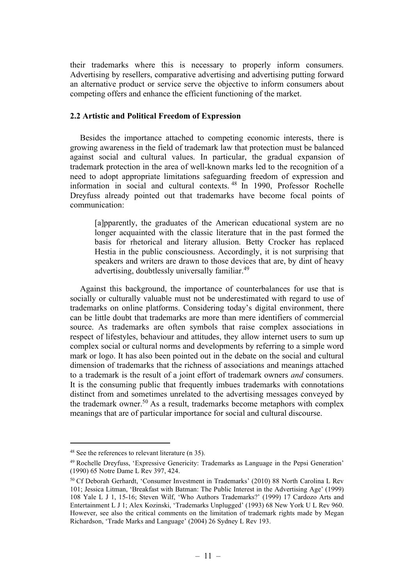their trademarks where this is necessary to properly inform consumers. Advertising by resellers, comparative advertising and advertising putting forward an alternative product or service serve the objective to inform consumers about competing offers and enhance the efficient functioning of the market.

### 2.2 Artistic and Political Freedom of Expression

Besides the importance attached to competing economic interests, there is growing awareness in the field of trademark law that protection must be balanced against social and cultural values. In particular, the gradual expansion of trademark protection in the area of well-known marks led to the recognition of a need to adopt appropriate limitations safeguarding freedom of expression and information in social and cultural contexts. <sup>48</sup> In 1990, Professor Rochelle Dreyfuss already pointed out that trademarks have become focal points of communication:

[a]pparently, the graduates of the American educational system are no longer acquainted with the classic literature that in the past formed the basis for rhetorical and literary allusion. Betty Crocker has replaced Hestia in the public consciousness. Accordingly, it is not surprising that speakers and writers are drawn to those devices that are, by dint of heavy advertising, doubtlessly universally familiar.<sup>49</sup>

Against this background, the importance of counterbalances for use that is socially or culturally valuable must not be underestimated with regard to use of trademarks on online platforms. Considering today's digital environment, there can be little doubt that trademarks are more than mere identifiers of commercial source. As trademarks are often symbols that raise complex associations in respect of lifestyles, behaviour and attitudes, they allow internet users to sum up complex social or cultural norms and developments by referring to a simple word mark or logo. It has also been pointed out in the debate on the social and cultural dimension of trademarks that the richness of associations and meanings attached to a trademark is the result of a joint effort of trademark owners and consumers. It is the consuming public that frequently imbues trademarks with connotations distinct from and sometimes unrelated to the advertising messages conveyed by the trademark owner.<sup>50</sup> As a result, trademarks become metaphors with complex meanings that are of particular importance for social and cultural discourse.

<sup>&</sup>lt;sup>48</sup> See the references to relevant literature (n 35).

<sup>49</sup> Rochelle Dreyfuss, 'Expressive Genericity: Trademarks as Language in the Pepsi Generation' (1990) 65 Notre Dame L Rev 397, 424.

<sup>50</sup> Cf Deborah Gerhardt, 'Consumer Investment in Trademarks' (2010) 88 North Carolina L Rev 101; Jessica Litman, 'Breakfast with Batman: The Public Interest in the Advertising Age' (1999) 108 Yale L J 1, 15-16; Steven Wilf, 'Who Authors Trademarks?' (1999) 17 Cardozo Arts and Entertainment L J 1; Alex Kozinski, 'Trademarks Unplugged' (1993) 68 New York U L Rev 960. However, see also the critical comments on the limitation of trademark rights made by Megan Richardson, 'Trade Marks and Language' (2004) 26 Sydney L Rev 193.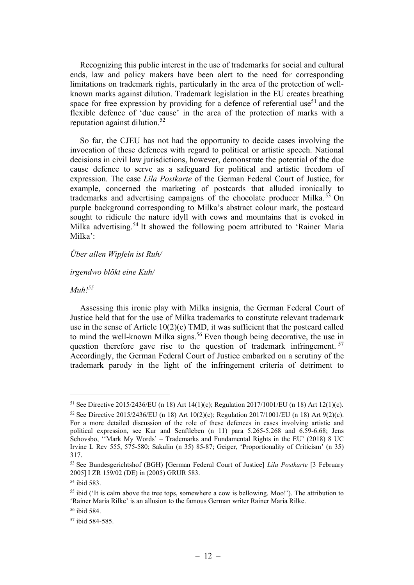Recognizing this public interest in the use of trademarks for social and cultural ends, law and policy makers have been alert to the need for corresponding limitations on trademark rights, particularly in the area of the protection of wellknown marks against dilution. Trademark legislation in the EU creates breathing space for free expression by providing for a defence of referential use<sup>51</sup> and the flexible defence of 'due cause' in the area of the protection of marks with a reputation against dilution.<sup>52</sup>

So far, the CJEU has not had the opportunity to decide cases involving the invocation of these defences with regard to political or artistic speech. National decisions in civil law jurisdictions, however, demonstrate the potential of the due cause defence to serve as a safeguard for political and artistic freedom of expression. The case Lila Postkarte of the German Federal Court of Justice, for example, concerned the marketing of postcards that alluded ironically to trademarks and advertising campaigns of the chocolate producer Milka.<sup>53</sup> On purple background corresponding to Milka's abstract colour mark, the postcard sought to ridicule the nature idyll with cows and mountains that is evoked in Milka advertising.<sup>54</sup> It showed the following poem attributed to 'Rainer Maria Milka':

### Über allen Wipfeln ist Ruh/

#### irgendwo blökt eine Kuh/

# $Muh!^{55}$

Assessing this ironic play with Milka insignia, the German Federal Court of Justice held that for the use of Milka trademarks to constitute relevant trademark use in the sense of Article 10(2)(c) TMD, it was sufficient that the postcard called to mind the well-known Milka signs.<sup>56</sup> Even though being decorative, the use in question therefore gave rise to the question of trademark infringement.<sup>57</sup> Accordingly, the German Federal Court of Justice embarked on a scrutiny of the trademark parody in the light of the infringement criteria of detriment to

<sup>51</sup> See Directive 2015/2436/EU (n 18) Art 14(1)(c); Regulation 2017/1001/EU (n 18) Art 12(1)(c). <sup>52</sup> See Directive 2015/2436/EU (n 18) Art 10(2)(c); Regulation 2017/1001/EU (n 18) Art 9(2)(c). For a more detailed discussion of the role of these defences in cases involving artistic and political expression, see Kur and Senftleben (n 11) para 5.265-5.268 and 6.59-6.68; Jens Schovsbo, ''Mark My Words' – Trademarks and Fundamental Rights in the EU' (2018) 8 UC

Irvine L Rev 555, 575-580; Sakulin (n 35) 85-87; Geiger, 'Proportionality of Criticism' (n 35) 317.

<sup>53</sup> See Bundesgerichtshof (BGH) [German Federal Court of Justice] Lila Postkarte [3 February 2005] I ZR 159/02 (DE) in (2005) GRUR 583.

<sup>54</sup> ibid 583.

<sup>&</sup>lt;sup>55</sup> ibid ('It is calm above the tree tops, somewhere a cow is bellowing. Moo!'). The attribution to 'Rainer Maria Rilke' is an allusion to the famous German writer Rainer Maria Rilke.

<sup>56</sup> ibid 584.

<sup>57</sup> ibid 584-585.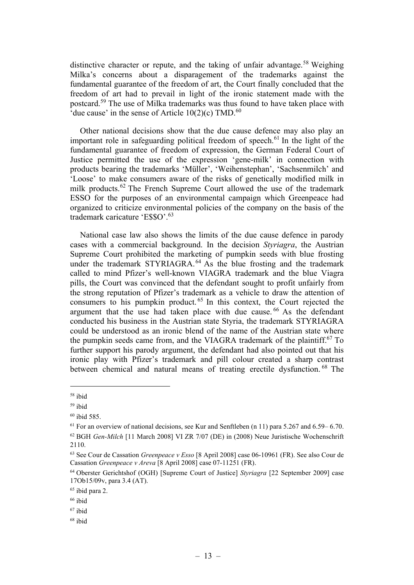distinctive character or repute, and the taking of unfair advantage.<sup>58</sup> Weighing Milka's concerns about a disparagement of the trademarks against the fundamental guarantee of the freedom of art, the Court finally concluded that the freedom of art had to prevail in light of the ironic statement made with the postcard.<sup>59</sup> The use of Milka trademarks was thus found to have taken place with 'due cause' in the sense of Article  $10(2)(c)$  TMD.<sup>60</sup>

Other national decisions show that the due cause defence may also play an important role in safeguarding political freedom of speech.<sup>61</sup> In the light of the fundamental guarantee of freedom of expression, the German Federal Court of Justice permitted the use of the expression 'gene-milk' in connection with products bearing the trademarks 'Müller', 'Weihenstephan', 'Sachsenmilch' and 'Loose' to make consumers aware of the risks of genetically modified milk in milk products.<sup>62</sup> The French Supreme Court allowed the use of the trademark ESSO for the purposes of an environmental campaign which Greenpeace had organized to criticize environmental policies of the company on the basis of the trademark caricature 'E\$\$O'.<sup>63</sup>

National case law also shows the limits of the due cause defence in parody cases with a commercial background. In the decision Styriagra, the Austrian Supreme Court prohibited the marketing of pumpkin seeds with blue frosting under the trademark STYRIAGRA.<sup>64</sup> As the blue frosting and the trademark called to mind Pfizer's well-known VIAGRA trademark and the blue Viagra pills, the Court was convinced that the defendant sought to profit unfairly from the strong reputation of Pfizer's trademark as a vehicle to draw the attention of consumers to his pumpkin product.<sup> $65$ </sup> In this context, the Court rejected the argument that the use had taken place with due cause. <sup>66</sup> As the defendant conducted his business in the Austrian state Styria, the trademark STYRIAGRA could be understood as an ironic blend of the name of the Austrian state where the pumpkin seeds came from, and the VIAGRA trademark of the plaintiff.<sup>67</sup> To further support his parody argument, the defendant had also pointed out that his ironic play with Pfizer's trademark and pill colour created a sharp contrast between chemical and natural means of treating erectile dysfunction. <sup>68</sup> The

<sup>58</sup> ibid

<sup>59</sup> ibid

 $60$  ibid 585.

 $61$  For an overview of national decisions, see Kur and Senftleben (n 11) para 5.267 and 6.59–6.70.

<sup>62</sup> BGH Gen-Milch [11 March 2008] VI ZR 7/07 (DE) in (2008) Neue Juristische Wochenschrift 2110.

 $63$  See Cour de Cassation *Greenpeace v Esso* [8 April 2008] case 06-10961 (FR). See also Cour de Cassation Greenpeace v Areva [8 April 2008] case 07-11251 (FR).

<sup>&</sup>lt;sup>64</sup> Oberster Gerichtshof (OGH) [Supreme Court of Justice] Styriagra [22 September 2009] case 17Ob15/09v, para 3.4 (AT).

<sup>65</sup> ibid para 2.

<sup>66</sup> ibid

<sup>67</sup> ibid

<sup>68</sup> ibid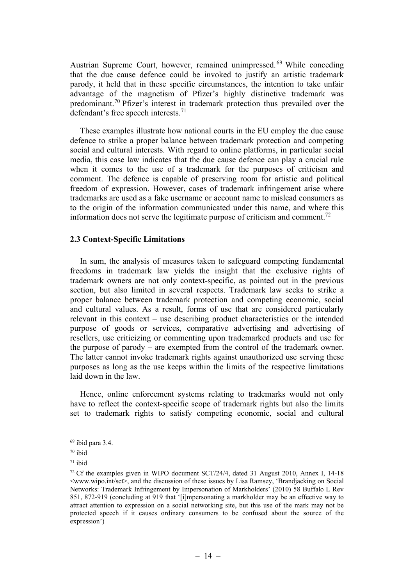Austrian Supreme Court, however, remained unimpressed. <sup>69</sup> While conceding that the due cause defence could be invoked to justify an artistic trademark parody, it held that in these specific circumstances, the intention to take unfair advantage of the magnetism of Pfizer's highly distinctive trademark was predominant.<sup>70</sup> Pfizer's interest in trademark protection thus prevailed over the defendant's free speech interests.<sup>71</sup>

These examples illustrate how national courts in the EU employ the due cause defence to strike a proper balance between trademark protection and competing social and cultural interests. With regard to online platforms, in particular social media, this case law indicates that the due cause defence can play a crucial rule when it comes to the use of a trademark for the purposes of criticism and comment. The defence is capable of preserving room for artistic and political freedom of expression. However, cases of trademark infringement arise where trademarks are used as a fake username or account name to mislead consumers as to the origin of the information communicated under this name, and where this information does not serve the legitimate purpose of criticism and comment.<sup>72</sup>

#### 2.3 Context-Specific Limitations

In sum, the analysis of measures taken to safeguard competing fundamental freedoms in trademark law yields the insight that the exclusive rights of trademark owners are not only context-specific, as pointed out in the previous section, but also limited in several respects. Trademark law seeks to strike a proper balance between trademark protection and competing economic, social and cultural values. As a result, forms of use that are considered particularly relevant in this context – use describing product characteristics or the intended purpose of goods or services, comparative advertising and advertising of resellers, use criticizing or commenting upon trademarked products and use for the purpose of parody – are exempted from the control of the trademark owner. The latter cannot invoke trademark rights against unauthorized use serving these purposes as long as the use keeps within the limits of the respective limitations laid down in the law.

Hence, online enforcement systems relating to trademarks would not only have to reflect the context-specific scope of trademark rights but also the limits set to trademark rights to satisfy competing economic, social and cultural

 $69$  ibid para 3.4.

 $70$  ibid

 $71$  ibid

 $72$  Cf the examples given in WIPO document SCT/24/4, dated 31 August 2010, Annex I, 14-18 <www.wipo.int/sct>, and the discussion of these issues by Lisa Ramsey, 'Brandjacking on Social Networks: Trademark Infringement by Impersonation of Markholders' (2010) 58 Buffalo L Rev 851, 872-919 (concluding at 919 that '[i]mpersonating a markholder may be an effective way to attract attention to expression on a social networking site, but this use of the mark may not be protected speech if it causes ordinary consumers to be confused about the source of the expression')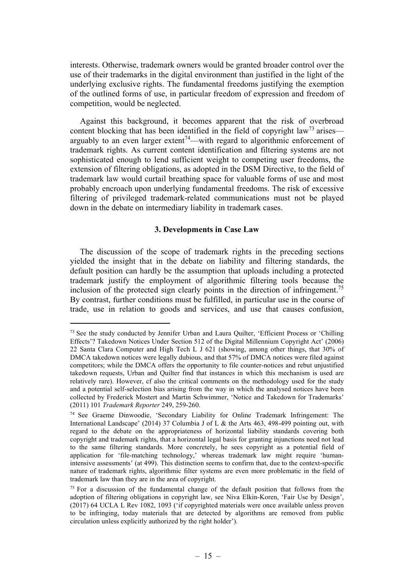interests. Otherwise, trademark owners would be granted broader control over the use of their trademarks in the digital environment than justified in the light of the underlying exclusive rights. The fundamental freedoms justifying the exemption of the outlined forms of use, in particular freedom of expression and freedom of competition, would be neglected.

Against this background, it becomes apparent that the risk of overbroad content blocking that has been identified in the field of copyright law<sup>73</sup> arises arguably to an even larger extent<sup>74</sup>—with regard to algorithmic enforcement of trademark rights. As current content identification and filtering systems are not sophisticated enough to lend sufficient weight to competing user freedoms, the extension of filtering obligations, as adopted in the DSM Directive, to the field of trademark law would curtail breathing space for valuable forms of use and most probably encroach upon underlying fundamental freedoms. The risk of excessive filtering of privileged trademark-related communications must not be played down in the debate on intermediary liability in trademark cases.

## 3. Developments in Case Law

The discussion of the scope of trademark rights in the preceding sections yielded the insight that in the debate on liability and filtering standards, the default position can hardly be the assumption that uploads including a protected trademark justify the employment of algorithmic filtering tools because the inclusion of the protected sign clearly points in the direction of infringement.<sup>75</sup> By contrast, further conditions must be fulfilled, in particular use in the course of trade, use in relation to goods and services, and use that causes confusion,

<sup>73</sup> See the study conducted by Jennifer Urban and Laura Quilter, 'Efficient Process or 'Chilling Effects'? Takedown Notices Under Section 512 of the Digital Millennium Copyright Act' (2006) 22 Santa Clara Computer and High Tech L J 621 (showing, among other things, that 30% of DMCA takedown notices were legally dubious, and that 57% of DMCA notices were filed against competitors; while the DMCA offers the opportunity to file counter-notices and rebut unjustified takedown requests, Urban and Quilter find that instances in which this mechanism is used are relatively rare). However, cf also the critical comments on the methodology used for the study and a potential self-selection bias arising from the way in which the analysed notices have been collected by Frederick Mostert and Martin Schwimmer, 'Notice and Takedown for Trademarks' (2011) 101 Trademark Reporter 249, 259-260.

<sup>74</sup> See Graeme Dinwoodie, 'Secondary Liability for Online Trademark Infringement: The International Landscape' (2014) 37 Columbia J of L & the Arts 463, 498-499 pointing out, with regard to the debate on the appropriateness of horizontal liability standards covering both copyright and trademark rights, that a horizontal legal basis for granting injunctions need not lead to the same filtering standards. More concretely, he sees copyright as a potential field of application for 'file-matching technology,' whereas trademark law might require 'humanintensive assessments' (at 499). This distinction seems to confirm that, due to the context-specific nature of trademark rights, algorithmic filter systems are even more problematic in the field of trademark law than they are in the area of copyright.

 $75$  For a discussion of the fundamental change of the default position that follows from the adoption of filtering obligations in copyright law, see Niva Elkin-Koren, 'Fair Use by Design', (2017) 64 UCLA L Rev 1082, 1093 ('if copyrighted materials were once available unless proven to be infringing, today materials that are detected by algorithms are removed from public circulation unless explicitly authorized by the right holder').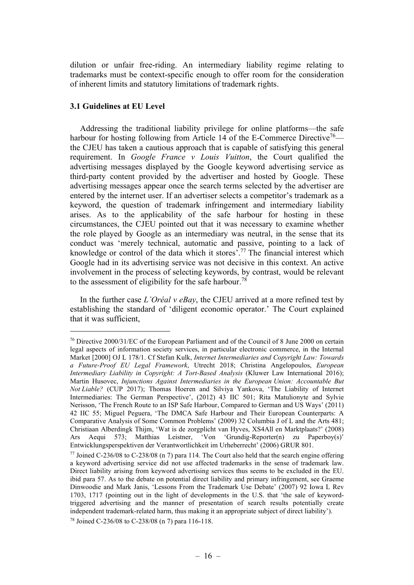dilution or unfair free-riding. An intermediary liability regime relating to trademarks must be context-specific enough to offer room for the consideration of inherent limits and statutory limitations of trademark rights.

# 3.1 Guidelines at EU Level

Addressing the traditional liability privilege for online platforms—the safe harbour for hosting following from Article 14 of the E-Commerce Directive<sup>76</sup> the CJEU has taken a cautious approach that is capable of satisfying this general requirement. In *Google France v Louis Vuitton*, the Court qualified the advertising messages displayed by the Google keyword advertising service as third-party content provided by the advertiser and hosted by Google. These advertising messages appear once the search terms selected by the advertiser are entered by the internet user. If an advertiser selects a competitor's trademark as a keyword, the question of trademark infringement and intermediary liability arises. As to the applicability of the safe harbour for hosting in these circumstances, the CJEU pointed out that it was necessary to examine whether the role played by Google as an intermediary was neutral, in the sense that its conduct was 'merely technical, automatic and passive, pointing to a lack of knowledge or control of the data which it stores'.<sup>77</sup> The financial interest which Google had in its advertising service was not decisive in this context. An active involvement in the process of selecting keywords, by contrast, would be relevant to the assessment of eligibility for the safe harbour.<sup>78</sup>

In the further case  $L'Oréal$  v eBay, the CJEU arrived at a more refined test by establishing the standard of 'diligent economic operator.' The Court explained that it was sufficient,

<sup>76</sup> Directive 2000/31/EC of the European Parliament and of the Council of 8 June 2000 on certain legal aspects of information society services, in particular electronic commerce, in the Internal Market [2000] OJ L 178/1. Cf Stefan Kulk, Internet Intermediaries and Copyright Law: Towards a Future-Proof EU Legal Framework, Utrecht 2018; Christina Angelopoulos, European Intermediary Liability in Copyright: A Tort-Based Analysis (Kluwer Law International 2016); Martin Husovec, Injunctions Against Intermediaries in the European Union: Accountable But Not Liable? (CUP 2017); Thomas Hoeren and Silviya Yankova, 'The Liability of Internet Intermediaries: The German Perspective', (2012) 43 IIC 501; Rita Matulionyte and Sylvie Nerisson, 'The French Route to an ISP Safe Harbour, Compared to German and US Ways' (2011) 42 IIC 55; Miguel Peguera, 'The DMCA Safe Harbour and Their European Counterparts: A Comparative Analysis of Some Common Problems' (2009) 32 Columbia J of L and the Arts 481; Christiaan Alberdingk Thijm, 'Wat is de zorgplicht van Hyves, XS4All en Marktplaats?' (2008) Ars Aequi 573; Matthias Leistner, 'Von 'Grundig-Reporter(n) zu Paperboy(s)' Entwicklungsperspektiven der Verantwortlichkeit im Urheberrecht' (2006) GRUR 801.

 $77$  Joined C-236/08 to C-238/08 (n 7) para 114. The Court also held that the search engine offering a keyword advertising service did not use affected trademarks in the sense of trademark law. Direct liability arising from keyword advertising services thus seems to be excluded in the EU. ibid para 57. As to the debate on potential direct liability and primary infringement, see Graeme Dinwoodie and Mark Janis, 'Lessons From the Trademark Use Debate' (2007) 92 Iowa L Rev 1703, 1717 (pointing out in the light of developments in the U.S. that 'the sale of keywordtriggered advertising and the manner of presentation of search results potentially create independent trademark-related harm, thus making it an appropriate subject of direct liability').

<sup>78</sup> Joined C-236/08 to C-238/08 (n 7) para 116-118.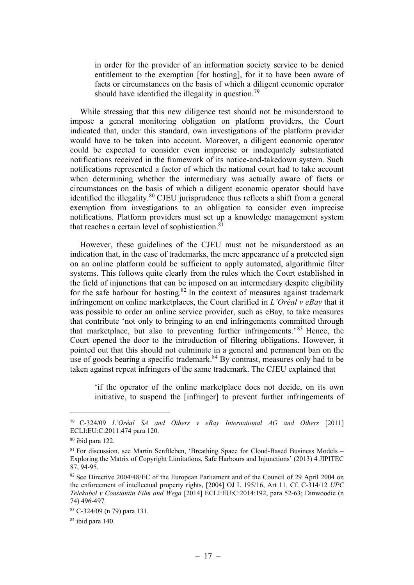in order for the provider of an information society service to be denied entitlement to the exemption [for hosting], for it to have been aware of facts or circumstances on the basis of which a diligent economic operator should have identified the illegality in question.<sup>79</sup>

While stressing that this new diligence test should not be misunderstood to impose a general monitoring obligation on platform providers, the Court indicated that, under this standard, own investigations of the platform provider would have to be taken into account. Moreover, a diligent economic operator could be expected to consider even imprecise or inadequately substantiated notifications received in the framework of its notice-and-takedown system. Such notifications represented a factor of which the national court had to take account when determining whether the intermediary was actually aware of facts or circumstances on the basis of which a diligent economic operator should have identified the illegality.<sup>80</sup> CJEU jurisprudence thus reflects a shift from a general exemption from investigations to an obligation to consider even imprecise notifications. Platform providers must set up a knowledge management system that reaches a certain level of sophistication.<sup>81</sup>

However, these guidelines of the CJEU must not be misunderstood as an indication that, in the case of trademarks, the mere appearance of a protected sign on an online platform could be sufficient to apply automated, algorithmic filter systems. This follows quite clearly from the rules which the Court established in the field of injunctions that can be imposed on an intermediary despite eligibility for the safe harbour for hosting.<sup>82</sup> In the context of measures against trademark infringement on online marketplaces, the Court clarified in  $L'Oréal v eBav$  that it was possible to order an online service provider, such as eBay, to take measures that contribute 'not only to bringing to an end infringements committed through that marketplace, but also to preventing further infringements.<sup>83</sup> Hence, the Court opened the door to the introduction of filtering obligations. However, it pointed out that this should not culminate in a general and permanent ban on the use of goods bearing a specific trademark. $84$  By contrast, measures only had to be taken against repeat infringers of the same trademark. The CJEU explained that

'if the operator of the online marketplace does not decide, on its own initiative, to suspend the [infringer] to prevent further infringements of

<sup>&</sup>lt;sup>79</sup> C-324/09 *L'Oréal SA and Others v eBay International AG and Others* [2011] ECLI:EU:C:2011:474 para 120.

<sup>80</sup> ibid para 122.

<sup>81</sup> For discussion, see Martin Senftleben, 'Breathing Space for Cloud-Based Business Models – Exploring the Matrix of Copyright Limitations, Safe Harbours and Injunctions' (2013) 4 JIPITEC 87, 94-95.

<sup>82</sup> See Directive 2004/48/EC of the European Parliament and of the Council of 29 April 2004 on the enforcement of intellectual property rights, [2004] OJ L 195/16, Art 11. Cf. C-314/12 UPC Telekabel v Constantin Film and Wega [2014] ECLI:EU:C:2014:192, para 52-63; Dinwoodie (n 74) 496-497.

<sup>83</sup> C-324/09 (n 79) para 131.

 $84$  ibid para 140.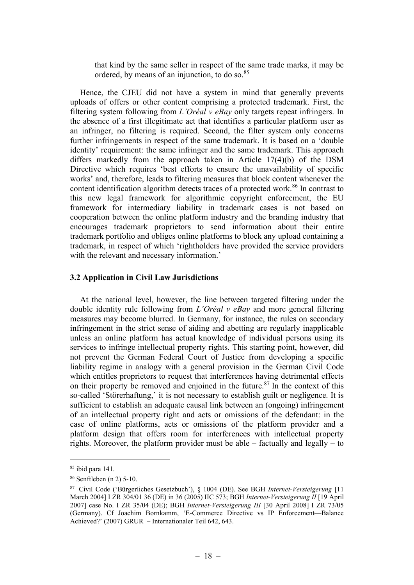that kind by the same seller in respect of the same trade marks, it may be ordered, by means of an injunction, to do so.<sup>85</sup>

Hence, the CJEU did not have a system in mind that generally prevents uploads of offers or other content comprising a protected trademark. First, the filtering system following from L'Oréal v eBay only targets repeat infringers. In the absence of a first illegitimate act that identifies a particular platform user as an infringer, no filtering is required. Second, the filter system only concerns further infringements in respect of the same trademark. It is based on a 'double identity' requirement: the same infringer and the same trademark. This approach differs markedly from the approach taken in Article 17(4)(b) of the DSM Directive which requires 'best efforts to ensure the unavailability of specific works' and, therefore, leads to filtering measures that block content whenever the content identification algorithm detects traces of a protected work.<sup>86</sup> In contrast to this new legal framework for algorithmic copyright enforcement, the EU framework for intermediary liability in trademark cases is not based on cooperation between the online platform industry and the branding industry that encourages trademark proprietors to send information about their entire trademark portfolio and obliges online platforms to block any upload containing a trademark, in respect of which 'rightholders have provided the service providers with the relevant and necessary information.'

# 3.2 Application in Civil Law Jurisdictions

At the national level, however, the line between targeted filtering under the double identity rule following from *L'Oréal v eBay* and more general filtering measures may become blurred. In Germany, for instance, the rules on secondary infringement in the strict sense of aiding and abetting are regularly inapplicable unless an online platform has actual knowledge of individual persons using its services to infringe intellectual property rights. This starting point, however, did not prevent the German Federal Court of Justice from developing a specific liability regime in analogy with a general provision in the German Civil Code which entitles proprietors to request that interferences having detrimental effects on their property be removed and enjoined in the future.<sup>87</sup> In the context of this so-called 'Störerhaftung,' it is not necessary to establish guilt or negligence. It is sufficient to establish an adequate causal link between an (ongoing) infringement of an intellectual property right and acts or omissions of the defendant: in the case of online platforms, acts or omissions of the platform provider and a platform design that offers room for interferences with intellectual property rights. Moreover, the platform provider must be able – factually and legally – to

 $85$  ibid para 141.

<sup>86</sup> Senftleben (n 2) 5-10.

<sup>87</sup> Civil Code ('Bürgerliches Gesetzbuch'), § 1004 (DE). See BGH Internet-Versteigerung [11 March 2004] I ZR 304/01 36 (DE) in 36 (2005) IIC 573; BGH Internet-Versteigerung II [19 April 2007] case No. I ZR 35/04 (DE); BGH Internet-Versteigerung III [30 April 2008] I ZR 73/05 (Germany). Cf Joachim Bornkamm, 'E-Commerce Directive vs IP Enforcement—Balance Achieved?' (2007) GRUR – Internationaler Teil 642, 643.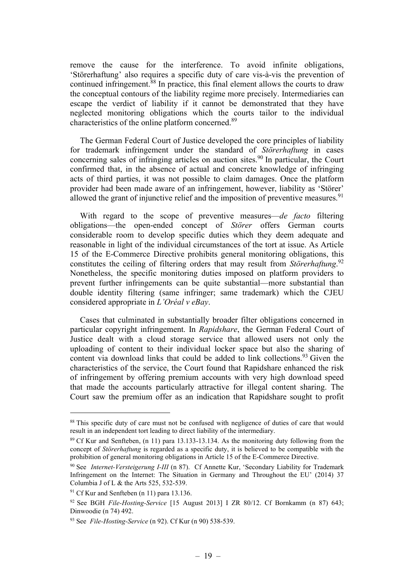remove the cause for the interference. To avoid infinite obligations, 'Störerhaftung' also requires a specific duty of care vis-à-vis the prevention of continued infringement.<sup>88</sup> In practice, this final element allows the courts to draw the conceptual contours of the liability regime more precisely. Intermediaries can escape the verdict of liability if it cannot be demonstrated that they have neglected monitoring obligations which the courts tailor to the individual characteristics of the online platform concerned.<sup>89</sup>

The German Federal Court of Justice developed the core principles of liability for trademark infringement under the standard of *Störerhaftung* in cases concerning sales of infringing articles on auction sites. $90$  In particular, the Court confirmed that, in the absence of actual and concrete knowledge of infringing acts of third parties, it was not possible to claim damages. Once the platform provider had been made aware of an infringement, however, liability as 'Störer' allowed the grant of injunctive relief and the imposition of preventive measures.<sup>91</sup>

With regard to the scope of preventive measures—de facto filtering obligations—the open-ended concept of Störer offers German courts considerable room to develop specific duties which they deem adequate and reasonable in light of the individual circumstances of the tort at issue. As Article 15 of the E-Commerce Directive prohibits general monitoring obligations, this constitutes the ceiling of filtering orders that may result from Störerhaftung.<sup>92</sup> Nonetheless, the specific monitoring duties imposed on platform providers to prevent further infringements can be quite substantial—more substantial than double identity filtering (same infringer; same trademark) which the CJEU considered appropriate in L'Oréal v eBay.

Cases that culminated in substantially broader filter obligations concerned in particular copyright infringement. In Rapidshare, the German Federal Court of Justice dealt with a cloud storage service that allowed users not only the uploading of content to their individual locker space but also the sharing of content via download links that could be added to link collections.<sup>93</sup> Given the characteristics of the service, the Court found that Rapidshare enhanced the risk of infringement by offering premium accounts with very high download speed that made the accounts particularly attractive for illegal content sharing. The Court saw the premium offer as an indication that Rapidshare sought to profit

<sup>&</sup>lt;sup>88</sup> This specific duty of care must not be confused with negligence of duties of care that would result in an independent tort leading to direct liability of the intermediary.

 $89$  Cf Kur and Senfteben, (n 11) para 13.133-13.134. As the monitoring duty following from the concept of Störerhaftung is regarded as a specific duty, it is believed to be compatible with the prohibition of general monitoring obligations in Article 15 of the E-Commerce Directive.

<sup>&</sup>lt;sup>90</sup> See *Internet-Versteigerung I-III* (n 87). Cf Annette Kur, 'Secondary Liability for Trademark Infringement on the Internet: The Situation in Germany and Throughout the EU' (2014) 37 Columbia J of L & the Arts 525, 532-539.

 $91$  Cf Kur and Senfteben (n 11) para 13.136.

<sup>92</sup> See BGH File-Hosting-Service [15 August 2013] I ZR 80/12. Cf Bornkamm (n 87) 643; Dinwoodie (n 74) 492.

 $93$  See File-Hosting-Service (n 92). Cf Kur (n 90) 538-539.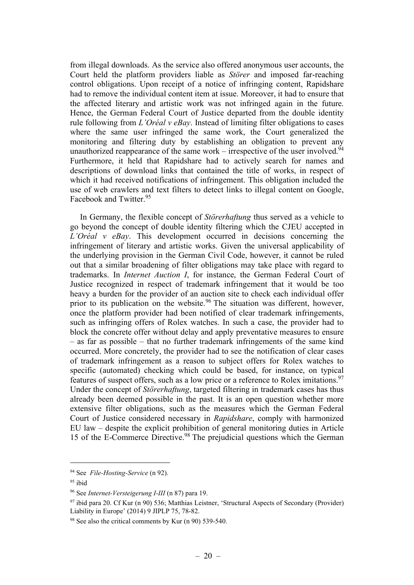from illegal downloads. As the service also offered anonymous user accounts, the Court held the platform providers liable as Störer and imposed far-reaching control obligations. Upon receipt of a notice of infringing content, Rapidshare had to remove the individual content item at issue. Moreover, it had to ensure that the affected literary and artistic work was not infringed again in the future. Hence, the German Federal Court of Justice departed from the double identity rule following from  $L'Oréal$  v eBay. Instead of limiting filter obligations to cases where the same user infringed the same work, the Court generalized the monitoring and filtering duty by establishing an obligation to prevent any unauthorized reappearance of the same work – irrespective of the user involved.<sup>94</sup> Furthermore, it held that Rapidshare had to actively search for names and descriptions of download links that contained the title of works, in respect of which it had received notifications of infringement. This obligation included the use of web crawlers and text filters to detect links to illegal content on Google, Facebook and Twitter.<sup>95</sup>

In Germany, the flexible concept of Störerhaftung thus served as a vehicle to go beyond the concept of double identity filtering which the CJEU accepted in  $L'Oréal$  v eBay. This development occurred in decisions concerning the infringement of literary and artistic works. Given the universal applicability of the underlying provision in the German Civil Code, however, it cannot be ruled out that a similar broadening of filter obligations may take place with regard to trademarks. In Internet Auction I, for instance, the German Federal Court of Justice recognized in respect of trademark infringement that it would be too heavy a burden for the provider of an auction site to check each individual offer prior to its publication on the website.<sup>96</sup> The situation was different, however, once the platform provider had been notified of clear trademark infringements, such as infringing offers of Rolex watches. In such a case, the provider had to block the concrete offer without delay and apply preventative measures to ensure – as far as possible – that no further trademark infringements of the same kind occurred. More concretely, the provider had to see the notification of clear cases of trademark infringement as a reason to subject offers for Rolex watches to specific (automated) checking which could be based, for instance, on typical features of suspect offers, such as a low price or a reference to Rolex imitations.<sup>97</sup> Under the concept of Störerhaftung, targeted filtering in trademark cases has thus already been deemed possible in the past. It is an open question whether more extensive filter obligations, such as the measures which the German Federal Court of Justice considered necessary in Rapidshare, comply with harmonized EU law – despite the explicit prohibition of general monitoring duties in Article 15 of the E-Commerce Directive.<sup>98</sup> The prejudicial questions which the German

<sup>&</sup>lt;sup>94</sup> See File-Hosting-Service (n 92).

<sup>95</sup> ibid

<sup>96</sup> See Internet-Versteigerung I-III (n 87) para 19.

 $97$  ibid para 20. Cf Kur (n 90) 536; Matthias Leistner, 'Structural Aspects of Secondary (Provider) Liability in Europe' (2014) 9 JIPLP 75, 78-82.

<sup>&</sup>lt;sup>98</sup> See also the critical comments by Kur (n 90) 539-540.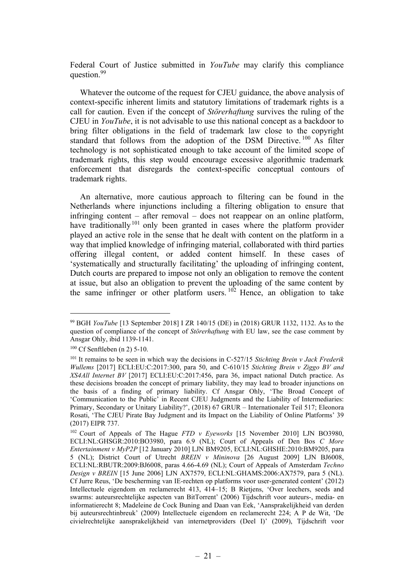Federal Court of Justice submitted in *YouTube* may clarify this compliance question.<sup>99</sup>

Whatever the outcome of the request for CJEU guidance, the above analysis of context-specific inherent limits and statutory limitations of trademark rights is a call for caution. Even if the concept of Störerhaftung survives the ruling of the CJEU in YouTube, it is not advisable to use this national concept as a backdoor to bring filter obligations in the field of trademark law close to the copyright standard that follows from the adoption of the DSM Directive.  $100$  As filter technology is not sophisticated enough to take account of the limited scope of trademark rights, this step would encourage excessive algorithmic trademark enforcement that disregards the context-specific conceptual contours of trademark rights.

An alternative, more cautious approach to filtering can be found in the Netherlands where injunctions including a filtering obligation to ensure that infringing content – after removal – does not reappear on an online platform, have traditionally<sup>101</sup> only been granted in cases where the platform provider played an active role in the sense that he dealt with content on the platform in a way that implied knowledge of infringing material, collaborated with third parties offering illegal content, or added content himself. In these cases of 'systematically and structurally facilitating' the uploading of infringing content, Dutch courts are prepared to impose not only an obligation to remove the content at issue, but also an obligation to prevent the uploading of the same content by the same infringer or other platform users.  $10^2$  Hence, an obligation to take

<sup>99</sup> BGH YouTube [13 September 2018] I ZR 140/15 (DE) in (2018) GRUR 1132, 1132. As to the question of compliance of the concept of *Störerhaftung* with EU law, see the case comment by Ansgar Ohly, ibid 1139-1141.

<sup>100</sup> Cf Senftleben (n 2) 5-10.

 $101$  It remains to be seen in which way the decisions in C-527/15 Stichting Brein v Jack Frederik Wullems [2017] ECLI:EU:C:2017:300, para 50, and C-610/15 Stichting Brein v Ziggo BV and XS4All Internet BV [2017] ECLI:EU:C:2017:456, para 36, impact national Dutch practice. As these decisions broaden the concept of primary liability, they may lead to broader injunctions on the basis of a finding of primary liability. Cf Ansgar Ohly, 'The Broad Concept of 'Communication to the Public' in Recent CJEU Judgments and the Liability of Intermediaries: Primary, Secondary or Unitary Liability?', (2018) 67 GRUR – Internationaler Teil 517; Eleonora Rosati, 'The CJEU Pirate Bay Judgment and its Impact on the Liability of Online Platforms' 39 (2017) EIPR 737.

<sup>&</sup>lt;sup>102</sup> Court of Appeals of The Hague *FTD v Eveworks* [15 November 2010] LJN BO3980, ECLI:NL:GHSGR:2010:BO3980, para 6.9 (NL); Court of Appeals of Den Bos C More Entertainment v MyP2P [12 January 2010] LJN BM9205, ECLI:NL:GHSHE:2010:BM9205, para 5 (NL); District Court of Utrecht BREIN v Mininova [26 August 2009] LJN BJ6008, ECLI:NL:RBUTR:2009:BJ6008, paras 4.66-4.69 (NL); Court of Appeals of Amsterdam Techno Design v BREIN [15 June 2006] LJN AX7579, ECLI:NL:GHAMS:2006:AX7579, para 5 (NL). Cf Jurre Reus, 'De bescherming van IE-rechten op platforms voor user-generated content' (2012) Intellectuele eigendom en reclamerecht 413, 414–15; B Rietjens, 'Over leechers, seeds and swarms: auteursrechtelijke aspecten van BitTorrent' (2006) Tijdschrift voor auteurs-, media- en informatierecht 8; Madeleine de Cock Buning and Daan van Eek, 'Aansprakelijkheid van derden bij auteursrechtinbreuk' (2009) Intellectuele eigendom en reclamerecht 224; A P de Wit, 'De civielrechtelijke aansprakelijkheid van internetproviders (Deel I)' (2009), Tijdschrift voor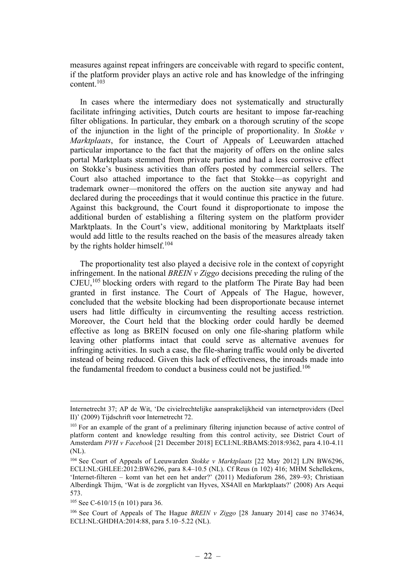measures against repeat infringers are conceivable with regard to specific content, if the platform provider plays an active role and has knowledge of the infringing content.<sup>103</sup>

In cases where the intermediary does not systematically and structurally facilitate infringing activities, Dutch courts are hesitant to impose far-reaching filter obligations. In particular, they embark on a thorough scrutiny of the scope of the injunction in the light of the principle of proportionality. In Stokke v Marktplaats, for instance, the Court of Appeals of Leeuwarden attached particular importance to the fact that the majority of offers on the online sales portal Marktplaats stemmed from private parties and had a less corrosive effect on Stokke's business activities than offers posted by commercial sellers. The Court also attached importance to the fact that Stokke—as copyright and trademark owner—monitored the offers on the auction site anyway and had declared during the proceedings that it would continue this practice in the future. Against this background, the Court found it disproportionate to impose the additional burden of establishing a filtering system on the platform provider Marktplaats. In the Court's view, additional monitoring by Marktplaats itself would add little to the results reached on the basis of the measures already taken by the rights holder himself.<sup>104</sup>

The proportionality test also played a decisive role in the context of copyright infringement. In the national BREIN  $\nu$  Ziggo decisions preceding the ruling of the  $CJEU$ ,<sup>105</sup> blocking orders with regard to the platform The Pirate Bay had been granted in first instance. The Court of Appeals of The Hague, however, concluded that the website blocking had been disproportionate because internet users had little difficulty in circumventing the resulting access restriction. Moreover, the Court held that the blocking order could hardly be deemed effective as long as BREIN focused on only one file-sharing platform while leaving other platforms intact that could serve as alternative avenues for infringing activities. In such a case, the file-sharing traffic would only be diverted instead of being reduced. Given this lack of effectiveness, the inroads made into the fundamental freedom to conduct a business could not be justified.<sup>106</sup>

Internetrecht 37; AP de Wit, 'De civielrechtelijke aansprakelijkheid van internetproviders (Deel II)' (2009) Tijdschrift voor Internetrecht 72.

<sup>&</sup>lt;sup>103</sup> For an example of the grant of a preliminary filtering injunction because of active control of platform content and knowledge resulting from this control activity, see District Court of Amsterdam PVH v Facebook [21 December 2018] ECLI:NL:RBAMS:2018:9362, para 4.10-4.11 (NL).

<sup>&</sup>lt;sup>104</sup> See Court of Appeals of Leeuwarden Stokke v Marktplaats [22 May 2012] LJN BW6296, ECLI:NL:GHLEE:2012:BW6296, para 8.4–10.5 (NL). Cf Reus (n 102) 416; MHM Schellekens, 'Internet-filteren – komt van het een het ander?' (2011) Mediaforum 286, 289–93; Christiaan Alberdingk Thijm, 'Wat is de zorgplicht van Hyves, XS4All en Marktplaats?' (2008) Ars Aequi 573.

<sup>105</sup> See C-610/15 (n 101) para 36.

<sup>&</sup>lt;sup>106</sup> See Court of Appeals of The Hague *BREIN v Ziggo* [28 January 2014] case no 374634, ECLI:NL:GHDHA:2014:88, para 5.10–5.22 (NL).